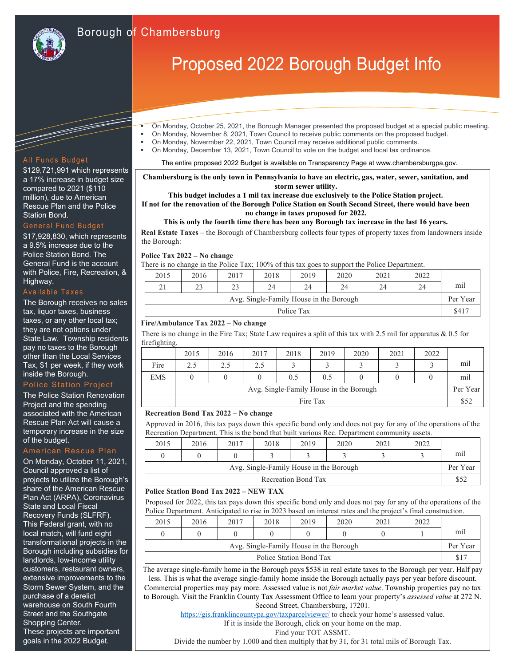

### Information Technology Solutions and Companies Solutions and Companies Solutions and Companies Solutions and C<br>Informations and Companies Solutions and Companies Solutions and Companies Solutions and Companies Solutions a Borough of Chambersburg

# Proposed 2022 Borough Budget Info

- On Monday, October 25, 2021, the Borough Manager presented the proposed budget at a special public meeting.
- On Monday, November 8, 2021, Town Council to receive public comments on the proposed budget.
- On Monday, Novermber 22, 2021, Town Council may receive additional public comments.
- On Monday, December 13, 2021, Town Council to vote on the budget and local tax ordinance.

The entire proposed 2022 Budget is available on Transparency Page at www.chambersburgpa.gov.

**Chambersburg is the only town in Pennsylvania to have an electric, gas, water, sewer, sanitation, and storm sewer utility.** 

#### **This budget includes a 1 mil tax increase due exclusively to the Police Station project.**

**If not for the renovation of the Borough Police Station on South Second Street, there would have been no change in taxes proposed for 2022.** 

#### **This is only the fourth time there has been any Borough tax increase in the last 16 years.**

**Real Estate Taxes** – the Borough of Chambersburg collects four types of property taxes from landowners inside the Borough:

**Police Tax 2022 – No change** 

There is no change in the Police Tax; 100% of this tax goes to support the Police Department.

| 2015                                    | 2016 | 2017 | 2018 | 2019 | 2020 | 2021 | 2022  |          |
|-----------------------------------------|------|------|------|------|------|------|-------|----------|
| 21                                      | 23   | 23   | 24   | 24   | 24   | 24   | 24    | mil      |
| Avg. Single-Family House in the Borough |      |      |      |      |      |      |       | Per Year |
| Police Tax                              |      |      |      |      |      |      | \$417 |          |

#### **Fire/Ambulance Tax 2022 – No change**

There is no change in the Fire Tax; State Law requires a split of this tax with 2.5 mil for apparatus & 0.5 for firefighting.

|            | 2015                                    | 2016 | 2017 | 2018 | 2019 | 2020 | 2021 | 2022 |          |
|------------|-----------------------------------------|------|------|------|------|------|------|------|----------|
| Fire       | 2.5                                     | 2.5  | 2.5  |      |      |      |      |      | mil      |
| <b>EMS</b> |                                         |      |      | 0.5  | 0.5  |      |      |      | mil      |
|            | Avg. Single-Family House in the Borough |      |      |      |      |      |      |      | Per Year |
|            | Fire Tax                                |      |      |      |      |      |      |      | \$52     |

#### **Recreation Bond Tax 2022 – No change**

Approved in 2016, this tax pays down this specific bond only and does not pay for any of the operations of the Recreation Department. This is the bond that built various Rec. Department community assets.

| 2015                                    | 2016 | 2017 | 2018 | 2019 | 2020 | 2021 | 2022 |          |
|-----------------------------------------|------|------|------|------|------|------|------|----------|
|                                         |      |      |      |      |      |      |      | mil      |
| Avg. Single-Family House in the Borough |      |      |      |      |      |      |      | Per Year |
| Recreation Bond Tax                     |      |      |      |      |      |      | \$52 |          |

#### **Police Station Bond Tax 2022 – NEW TAX**

Proposed for 2022, this tax pays down this specific bond only and does not pay for any of the operations of the Police Department. Anticipated to rise in 2023 based on interest rates and the project's final construction.

| 2015                                    | 2016 | 2017 | 2018 | 2019 | 2020 | 2021 | 2022 |          |
|-----------------------------------------|------|------|------|------|------|------|------|----------|
|                                         |      |      |      |      |      |      |      | mil      |
| Avg. Single-Family House in the Borough |      |      |      |      |      |      |      | Per Year |
| Police Station Bond Tax                 |      |      |      |      |      |      |      |          |

The average single-family home in the Borough pays \$538 in real estate taxes to the Borough per year. Half pay less. This is what the average single-family home inside the Borough actually pays per year before discount. Commercial properties may pay more. Assessed value is not *fair market value*. Township properties pay no tax to Borough. Visit the Franklin County Tax Assessment Office to learn your property's *assessed value* at 272 N. Second Street, Chambersburg, 17201.

https://gis.franklincountypa.gov/taxparcelviewer/ to check your home's assessed value.

If it is inside the Borough, click on your home on the map.

Find your TOT ASSMT.

Divide the number by 1,000 and then multiply that by 31, for 31 total mils of Borough Tax.

#### All Funds Budget

\$129,721,991 which represents a 17% increase in budget size compared to 2021 (\$110 million), due to American Rescue Plan and the Police Station Bond.

#### General Fund Budget

\$17,928,830, which represents a 9.5% increase due to the Police Station Bond. The General Fund is the account with Police, Fire, Recreation, & Highway.

The Borough receives no sales tax, liquor taxes, business taxes, or any other local tax; they are not options under State Law. Township residents pay no taxes to the Borough other than the Local Services Tax, \$1 per week, if they work inside the Borough.

#### Police Station Project

The Police Station Renovation Project and the spending associated with the American Rescue Plan Act will cause a temporary increase in the size of the budget.

#### American Rescue Plan

On Monday, October 11, 2021, Council approved a list of projects to utilize the Borough's share of the American Rescue Plan Act (ARPA), Coronavirus State and Local Fiscal Recovery Funds (SLFRF). This Federal grant, with no local match, will fund eight transformational projects in the Borough including subsidies for landlords, low-income utility customers, restaurant owners, extensive improvements to the Storm Sewer System, and the purchase of a derelict warehouse on South Fourth Street and the Southgate Shopping Center. These projects are important goals in the 2022 Budget.